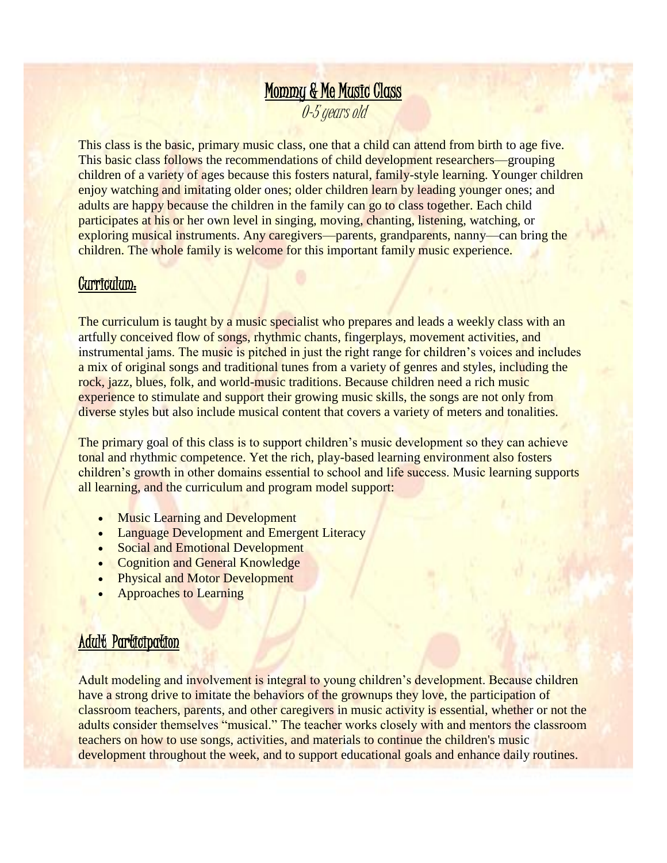# Mommy & Me Music Class 0-5 years old

This class is the basic, primary music class, one that a child can attend from birth to age five. This basic class follows the recommendations of child development researchers—grouping children of a variety of ages because this fosters natural, family-style learning. Younger children enjoy watching and imitating older ones; older children learn by leading younger ones; and adults are happy because the children in the family can go to class together. Each child participates at his or her own level in singing, moving, chanting, listening, watching, or exploring musical instruments. Any caregivers—parents, grandparents, nanny—can bring the children. The whole family is welcome for this important family music experience.

#### Curriculum:

The curriculum is taught by a music specialist who prepares and leads a weekly class with an artfully conceived flow of songs, rhythmic chants, fingerplays, movement activities, and instrumental jams. The music is pitched in just the right range for children's voices and includes a mix of original songs and traditional tunes from a variety of genres and styles, including the rock, jazz, blues, folk, and world-music traditions. Because children need a rich music experience to stimulate and support their growing music skills, the songs are not only from diverse styles but also include musical content that covers a variety of meters and tonalities.

The primary goal of this class is to support children's music development so they can achieve tonal and rhythmic competence. Yet the rich, play-based learning environment also fosters children's growth in other domains essential to school and life success. Music learning supports all learning, and the curriculum and program model support:

- Music Learning and Development
- Language Development and Emergent Literacy
- Social and Emotional Development
- **Cognition and General Knowledge**
- Physical and Motor Development
- Approaches to Learning

### Adult Participation

Adult modeling and involvement is integral to young children's development. Because children have a strong drive to imitate the behaviors of the grownups they love, the participation of classroom teachers, parents, and other caregivers in music activity is essential, whether or not the adults consider themselves "musical." The teacher works closely with and mentors the classroom teachers on how to use songs, activities, and materials to continue the children's music development throughout the week, and to support educational goals and enhance daily routines.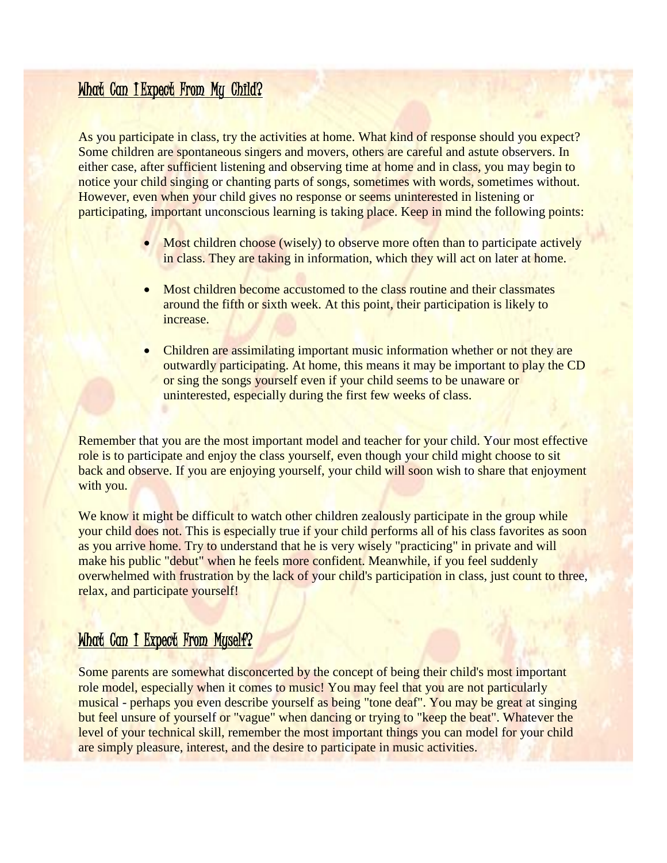# What Can I Expect From My Child?

As you participate in class, try the activities at home. What kind of response should you expect? Some children are spontaneous singers and movers, others are careful and astute observers. In either case, after sufficient listening and observing time at home and in class, you may begin to notice your child singing or chanting parts of songs, sometimes with words, sometimes without. However, even when your child gives no response or seems uninterested in listening or participating, important unconscious learning is taking place. Keep in mind the following points:

- Most children choose (wisely) to observe more often than to participate actively in class. They are taking in information, which they will act on later at home.
- Most children become accustomed to the class routine and their classmates around the fifth or sixth week. At this point, their participation is likely to increase.
- Children are assimilating important music information whether or not they are outwardly participating. At home, this means it may be important to play the CD or sing the songs yourself even if your child seems to be unaware or uninterested, especially during the first few weeks of class.

Remember that you are the most important model and teacher for your child. Your most effective role is to participate and enjoy the class yourself, even though your child might choose to sit back and observe. If you are enjoying yourself, your child will soon wish to share that enjoyment with you.

We know it might be difficult to watch other children zealously participate in the group while your child does not. This is especially true if your child performs all of his class favorites as soon as you arrive home. Try to understand that he is very wisely "practicing" in private and will make his public "debut" when he feels more confident. Meanwhile, if you feel suddenly overwhelmed with frustration by the lack of your child's participation in class, just count to three, relax, and participate yourself!

### What Can I Expect From Myself?

Some parents are somewhat disconcerted by the concept of being their child's most important role model, especially when it comes to music! You may feel that you are not particularly musical - perhaps you even describe yourself as being "tone deaf". You may be great at singing but feel unsure of yourself or "vague" when dancing or trying to "keep the beat". Whatever the level of your technical skill, remember the most important things you can model for your child are simply pleasure, interest, and the desire to participate in music activities.